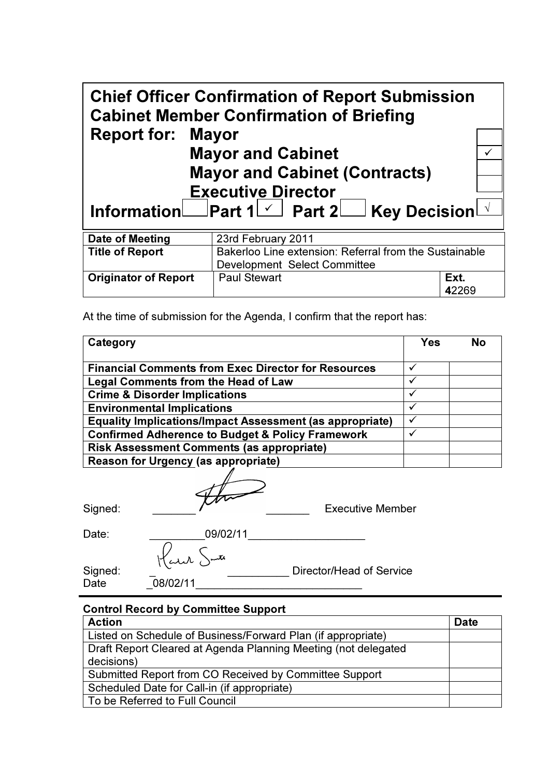| <b>Chief Officer Confirmation of Report Submission</b><br><b>Cabinet Member Confirmation of Briefing</b> |                                                        |               |  |  |
|----------------------------------------------------------------------------------------------------------|--------------------------------------------------------|---------------|--|--|
| <b>Report for: Mayor</b>                                                                                 | <b>Mayor and Cabinet</b>                               |               |  |  |
| <b>Mayor and Cabinet (Contracts)</b>                                                                     |                                                        |               |  |  |
| <b>Executive Director</b><br>Information Part 1 ∡ Part 2 Key Decision 1                                  |                                                        |               |  |  |
| Date of Meeting                                                                                          | 23rd February 2011                                     |               |  |  |
| <b>Title of Report</b>                                                                                   | Bakerloo Line extension: Referral from the Sustainable |               |  |  |
|                                                                                                          | Development Select Committee                           |               |  |  |
| <b>Originator of Report</b>                                                                              | <b>Paul Stewart</b>                                    | Ext.<br>42269 |  |  |

At the time of submission for the Agenda, I confirm that the report has:

| Category                                                        | <b>Yes</b>   | No |
|-----------------------------------------------------------------|--------------|----|
| <b>Financial Comments from Exec Director for Resources</b>      |              |    |
| Legal Comments from the Head of Law                             | ✓            |    |
| <b>Crime &amp; Disorder Implications</b>                        | ✓            |    |
| <b>Environmental Implications</b>                               |              |    |
| <b>Equality Implications/Impact Assessment (as appropriate)</b> | $\checkmark$ |    |
| <b>Confirmed Adherence to Budget &amp; Policy Framework</b>     |              |    |
| <b>Risk Assessment Comments (as appropriate)</b>                |              |    |
| <b>Reason for Urgency (as appropriate)</b>                      |              |    |

Signed: \_\_\_\_\_\_\_ \_\_\_\_\_\_\_ Executive Member

Signed:<br>Date

| Date:   | 09/02/11  |                          |
|---------|-----------|--------------------------|
|         | Harr Jute |                          |
| Signed: |           | Director/Head of Service |
| Date    | 08/02/11  |                          |

### Control Record by Committee Support

| <b>Action</b>                                                  | <b>Date</b> |
|----------------------------------------------------------------|-------------|
| Listed on Schedule of Business/Forward Plan (if appropriate)   |             |
| Draft Report Cleared at Agenda Planning Meeting (not delegated |             |
| decisions)                                                     |             |
| Submitted Report from CO Received by Committee Support         |             |
| Scheduled Date for Call-in (if appropriate)                    |             |
| To be Referred to Full Council                                 |             |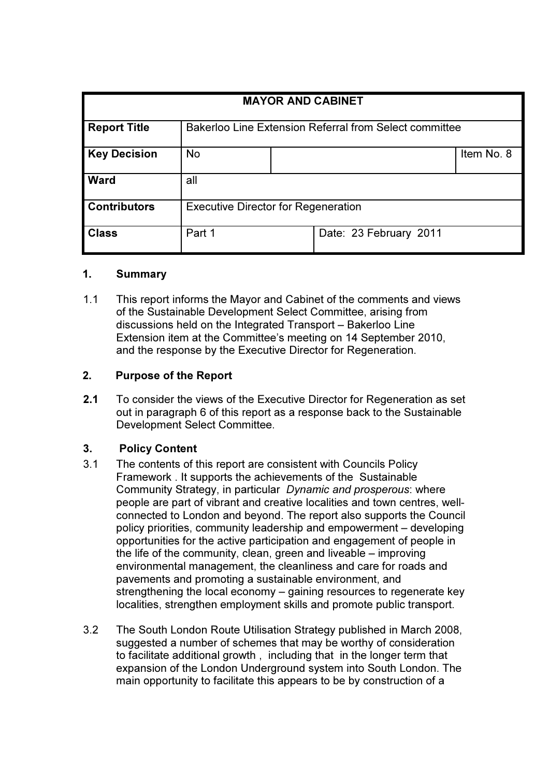| <b>MAYOR AND CABINET</b> |                                                               |  |                        |            |
|--------------------------|---------------------------------------------------------------|--|------------------------|------------|
|                          |                                                               |  |                        |            |
| <b>Report Title</b>      | <b>Bakerloo Line Extension Referral from Select committee</b> |  |                        |            |
| <b>Key Decision</b>      | <b>No</b>                                                     |  |                        | Item No. 8 |
| <b>Ward</b>              | all                                                           |  |                        |            |
| <b>Contributors</b>      | <b>Executive Director for Regeneration</b>                    |  |                        |            |
| <b>Class</b>             | Part 1                                                        |  | Date: 23 February 2011 |            |

#### 1. Summary

1.1 This report informs the Mayor and Cabinet of the comments and views of the Sustainable Development Select Committee, arising from discussions held on the Integrated Transport – Bakerloo Line Extension item at the Committee's meeting on 14 September 2010, and the response by the Executive Director for Regeneration.

# 2. Purpose of the Report

2.1 To consider the views of the Executive Director for Regeneration as set out in paragraph 6 of this report as a response back to the Sustainable Development Select Committee.

# 3. Policy Content

- 3.1 The contents of this report are consistent with Councils Policy Framework . It supports the achievements of the Sustainable Community Strategy, in particular Dynamic and prosperous: where people are part of vibrant and creative localities and town centres, wellconnected to London and beyond. The report also supports the Council policy priorities, community leadership and empowerment – developing opportunities for the active participation and engagement of people in the life of the community, clean, green and liveable – improving environmental management, the cleanliness and care for roads and pavements and promoting a sustainable environment, and strengthening the local economy – gaining resources to regenerate key localities, strengthen employment skills and promote public transport.
- 3.2 The South London Route Utilisation Strategy published in March 2008, suggested a number of schemes that may be worthy of consideration to facilitate additional growth , including that in the longer term that expansion of the London Underground system into South London. The main opportunity to facilitate this appears to be by construction of a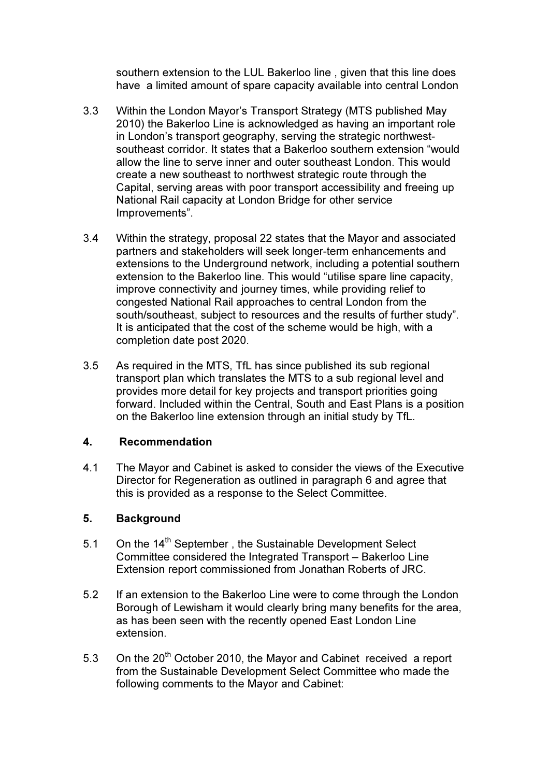southern extension to the LUL Bakerloo line , given that this line does have a limited amount of spare capacity available into central London

- 3.3 Within the London Mayor's Transport Strategy (MTS published May 2010) the Bakerloo Line is acknowledged as having an important role in London's transport geography, serving the strategic northwestsoutheast corridor. It states that a Bakerloo southern extension "would allow the line to serve inner and outer southeast London. This would create a new southeast to northwest strategic route through the Capital, serving areas with poor transport accessibility and freeing up National Rail capacity at London Bridge for other service Improvements".
- 3.4 Within the strategy, proposal 22 states that the Mayor and associated partners and stakeholders will seek longer-term enhancements and extensions to the Underground network, including a potential southern extension to the Bakerloo line. This would "utilise spare line capacity, improve connectivity and journey times, while providing relief to congested National Rail approaches to central London from the south/southeast, subject to resources and the results of further study". It is anticipated that the cost of the scheme would be high, with a completion date post 2020.
- 3.5 As required in the MTS, TfL has since published its sub regional transport plan which translates the MTS to a sub regional level and provides more detail for key projects and transport priorities going forward. Included within the Central, South and East Plans is a position on the Bakerloo line extension through an initial study by TfL.

#### 4. Recommendation

4.1 The Mayor and Cabinet is asked to consider the views of the Executive Director for Regeneration as outlined in paragraph 6 and agree that this is provided as a response to the Select Committee.

# 5. Background

- 5.1 On the 14<sup>th</sup> September, the Sustainable Development Select Committee considered the Integrated Transport – Bakerloo Line Extension report commissioned from Jonathan Roberts of JRC.
- 5.2 If an extension to the Bakerloo Line were to come through the London Borough of Lewisham it would clearly bring many benefits for the area, as has been seen with the recently opened East London Line extension.
- 5.3 On the  $20<sup>th</sup>$  October 2010, the Mayor and Cabinet received a report from the Sustainable Development Select Committee who made the following comments to the Mayor and Cabinet: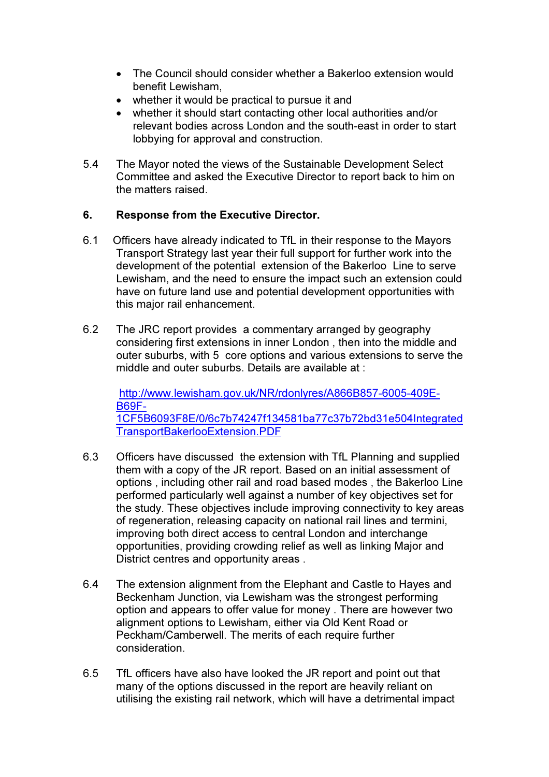- The Council should consider whether a Bakerloo extension would benefit Lewisham,
- whether it would be practical to pursue it and
- whether it should start contacting other local authorities and/or relevant bodies across London and the south-east in order to start lobbying for approval and construction.
- 5.4 The Mayor noted the views of the Sustainable Development Select Committee and asked the Executive Director to report back to him on the matters raised.

# 6. Response from the Executive Director.

- 6.1 Officers have already indicated to TfL in their response to the Mayors Transport Strategy last year their full support for further work into the development of the potential extension of the Bakerloo Line to serve Lewisham, and the need to ensure the impact such an extension could have on future land use and potential development opportunities with this major rail enhancement.
- 6.2 The JRC report provides a commentary arranged by geography considering first extensions in inner London , then into the middle and outer suburbs, with 5 core options and various extensions to serve the middle and outer suburbs. Details are available at :

http://www.lewisham.gov.uk/NR/rdonlyres/A866B857-6005-409E-B69F-1CF5B6093F8E/0/6c7b74247f134581ba77c37b72bd31e504Integrated TransportBakerlooExtension.PDF

- 6.3 Officers have discussed the extension with TfL Planning and supplied them with a copy of the JR report. Based on an initial assessment of options , including other rail and road based modes , the Bakerloo Line performed particularly well against a number of key objectives set for the study. These objectives include improving connectivity to key areas of regeneration, releasing capacity on national rail lines and termini, improving both direct access to central London and interchange opportunities, providing crowding relief as well as linking Major and District centres and opportunity areas .
- 6.4 The extension alignment from the Elephant and Castle to Hayes and Beckenham Junction, via Lewisham was the strongest performing option and appears to offer value for money . There are however two alignment options to Lewisham, either via Old Kent Road or Peckham/Camberwell. The merits of each require further consideration.
- 6.5 TfL officers have also have looked the JR report and point out that many of the options discussed in the report are heavily reliant on utilising the existing rail network, which will have a detrimental impact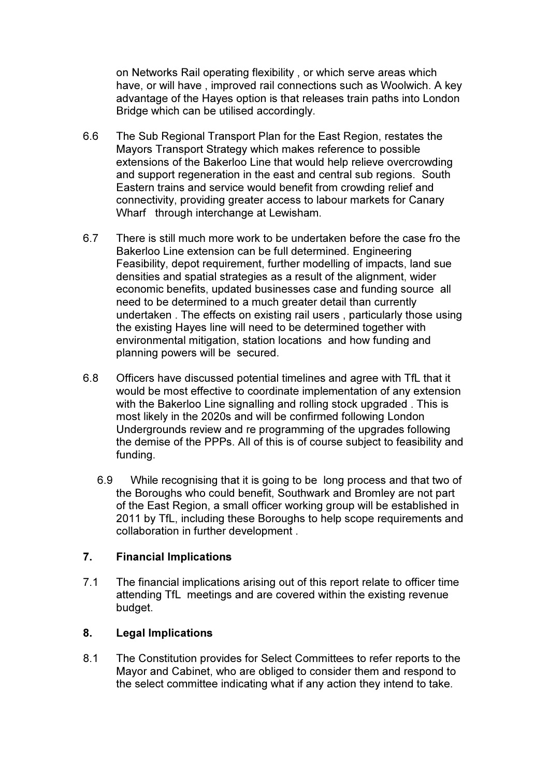on Networks Rail operating flexibility , or which serve areas which have, or will have , improved rail connections such as Woolwich. A key advantage of the Hayes option is that releases train paths into London Bridge which can be utilised accordingly.

- 6.6 The Sub Regional Transport Plan for the East Region, restates the Mayors Transport Strategy which makes reference to possible extensions of the Bakerloo Line that would help relieve overcrowding and support regeneration in the east and central sub regions. South Eastern trains and service would benefit from crowding relief and connectivity, providing greater access to labour markets for Canary Wharf through interchange at Lewisham.
- 6.7 There is still much more work to be undertaken before the case fro the Bakerloo Line extension can be full determined. Engineering Feasibility, depot requirement, further modelling of impacts, land sue densities and spatial strategies as a result of the alignment, wider economic benefits, updated businesses case and funding source all need to be determined to a much greater detail than currently undertaken . The effects on existing rail users , particularly those using the existing Hayes line will need to be determined together with environmental mitigation, station locations and how funding and planning powers will be secured.
- 6.8 Officers have discussed potential timelines and agree with TfL that it would be most effective to coordinate implementation of any extension with the Bakerloo Line signalling and rolling stock upgraded . This is most likely in the 2020s and will be confirmed following London Undergrounds review and re programming of the upgrades following the demise of the PPPs. All of this is of course subject to feasibility and funding.
	- 6.9 While recognising that it is going to be long process and that two of the Boroughs who could benefit, Southwark and Bromley are not part of the East Region, a small officer working group will be established in 2011 by TfL, including these Boroughs to help scope requirements and collaboration in further development .

#### 7. Financial Implications

7.1 The financial implications arising out of this report relate to officer time attending TfL meetings and are covered within the existing revenue budget.

#### 8. Legal Implications

8.1 The Constitution provides for Select Committees to refer reports to the Mayor and Cabinet, who are obliged to consider them and respond to the select committee indicating what if any action they intend to take.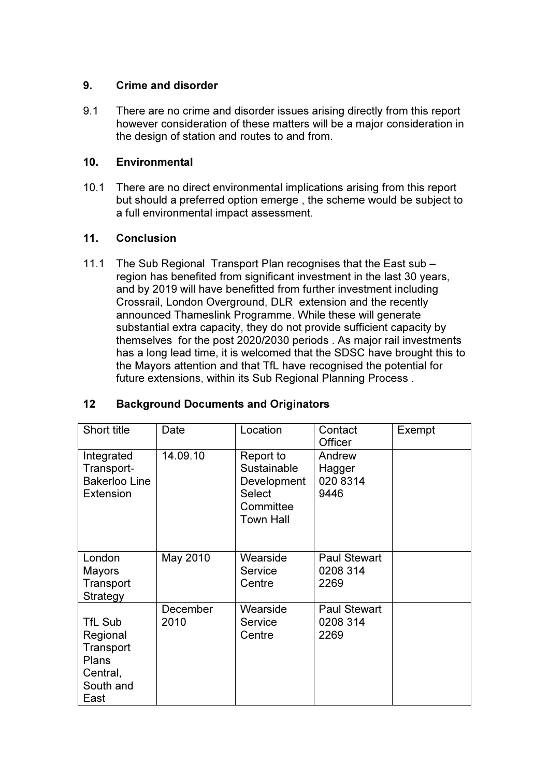### 9. Crime and disorder

9.1 There are no crime and disorder issues arising directly from this report however consideration of these matters will be a major consideration in the design of station and routes to and from.

# 10. Environmental

10.1 There are no direct environmental implications arising from this report but should a preferred option emerge , the scheme would be subject to a full environmental impact assessment.

# 11. Conclusion

11.1 The Sub Regional Transport Plan recognises that the East sub – region has benefited from significant investment in the last 30 years, and by 2019 will have benefitted from further investment including Crossrail, London Overground, DLR extension and the recently announced Thameslink Programme. While these will generate substantial extra capacity, they do not provide sufficient capacity by themselves for the post 2020/2030 periods . As major rail investments has a long lead time, it is welcomed that the SDSC have brought this to the Mayors attention and that TfL have recognised the potential for future extensions, within its Sub Regional Planning Process .

| Short title                                                                | Date             | Location                                                                    | Contact<br>Officer                      | Exempt |
|----------------------------------------------------------------------------|------------------|-----------------------------------------------------------------------------|-----------------------------------------|--------|
| Integrated<br>Transport-<br><b>Bakerloo Line</b><br>Extension              | 14.09.10         | Report to<br>Sustainable<br>Development<br>Select<br>Committee<br>Town Hall | Andrew<br>Hagger<br>020 8314<br>9446    |        |
| London<br>Mayors<br>Transport<br>Strategy                                  | May 2010         | Wearside<br>Service<br>Centre                                               | <b>Paul Stewart</b><br>0208 314<br>2269 |        |
| TfL Sub<br>Regional<br>Transport<br>Plans<br>Central,<br>South and<br>East | December<br>2010 | Wearside<br>Service<br>Centre                                               | <b>Paul Stewart</b><br>0208 314<br>2269 |        |

# 12 Background Documents and Originators